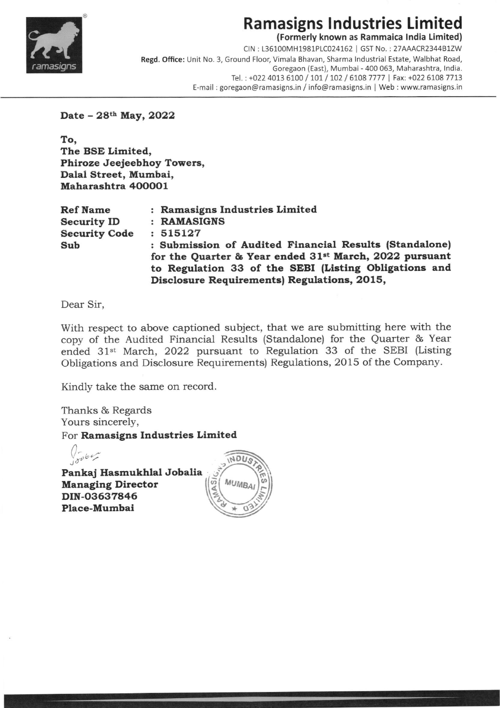## Ramasigns Industries Limited



(Formerly known as Rammaica India Limited)

CIN : 136100M H 1981PLC024162 | GST No. : 27AAACR2344B1ZW Regd. Office: Unit No. 3, Ground Floor, Vimala Bhavan, Sharma lndustrial Estate, Walbhat Road, Goregaon (East), Mumbai - 400 063, Maharashtra, lndia. Tel.: +022 4013 6100 / 101 / 102 / 6108 7777 | Fax: +022 6108 7713 E-mail: goregaon@ramasigns.in / info@ramasigns.in | Web : www.ramasigns.in

Date  $-28$ <sup>th</sup> May, 2022

To, The BSE Limited, Phiroze Jeejeebhoy Towers, Dalal Street, Mumbal, Maharashtra 4OOOO I

: Ramasigns Industries Limited : RAMASIGNS :515127 : Submission of Audited Financial Results (Standalone) for the Quarter & Year ended 31<sup>st</sup> March, 2022 pursuant to Regulation 33 of the SEBI (Listing Obligations and Disclosure Requirements) Regulations, 2015, Ref Name Security ID **Security Code** Sub

Dear Sir,

With respect to above captioned subject, that we are submitting here with the copy of the Audited Financial Results (Standalone) for the Quarter & Year ended  $31^{st}$  March, 2022 pursuant to Regulation 33 of the SEBI (Listing Obligations and Disclosure Requirements) Regulations, 2015 of the Company.

Kindly take the same on record.

Thanks & Regards Yours sincerely,

For Ramasigns Industries Limited

 $y_{3}^{2}$ 

Pankaj Hasmukhlal Joballa **Managing Director** DIN-O3637846 Place-Mumbal